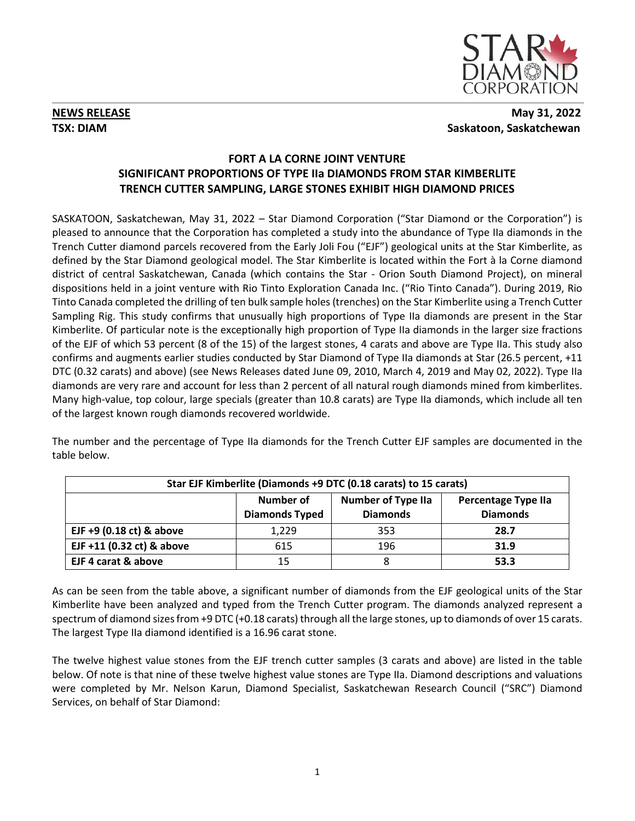

## **NEWS RELEASE** May 31, 2022 **TSX: DIAM** Saskatoon, Saskatchewan

# **FORT A LA CORNE JOINT VENTURE SIGNIFICANT PROPORTIONS OF TYPE IIa DIAMONDS FROM STAR KIMBERLITE TRENCH CUTTER SAMPLING, LARGE STONES EXHIBIT HIGH DIAMOND PRICES**

SASKATOON, Saskatchewan, May 31, 2022 – Star Diamond Corporation ("Star Diamond or the Corporation") is pleased to announce that the Corporation has completed a study into the abundance of Type IIa diamonds in the Trench Cutter diamond parcels recovered from the Early Joli Fou ("EJF") geological units at the Star Kimberlite, as defined by the Star Diamond geological model. The Star Kimberlite is located within the Fort à la Corne diamond district of central Saskatchewan, Canada (which contains the Star - Orion South Diamond Project), on mineral dispositions held in a joint venture with Rio Tinto Exploration Canada Inc. ("Rio Tinto Canada"). During 2019, Rio Tinto Canada completed the drilling of ten bulk sample holes (trenches) on the Star Kimberlite using a Trench Cutter Sampling Rig. This study confirms that unusually high proportions of Type IIa diamonds are present in the Star Kimberlite. Of particular note is the exceptionally high proportion of Type IIa diamonds in the larger size fractions of the EJF of which 53 percent (8 of the 15) of the largest stones, 4 carats and above are Type IIa. This study also confirms and augments earlier studies conducted by Star Diamond of Type IIa diamonds at Star (26.5 percent, +11 DTC (0.32 carats) and above) (see News Releases dated June 09, 2010, March 4, 2019 and May 02, 2022). Type IIa diamonds are very rare and account for less than 2 percent of all natural rough diamonds mined from kimberlites. Many high-value, top colour, large specials (greater than 10.8 carats) are Type IIa diamonds, which include all ten of the largest known rough diamonds recovered worldwide.

The number and the percentage of Type IIa diamonds for the Trench Cutter EJF samples are documented in the table below.

| Star EJF Kimberlite (Diamonds +9 DTC (0.18 carats) to 15 carats) |                                    |                                              |                                               |  |  |  |  |
|------------------------------------------------------------------|------------------------------------|----------------------------------------------|-----------------------------------------------|--|--|--|--|
|                                                                  | Number of<br><b>Diamonds Typed</b> | <b>Number of Type IIa</b><br><b>Diamonds</b> | <b>Percentage Type IIa</b><br><b>Diamonds</b> |  |  |  |  |
| EJF $+9$ (0.18 ct) & above                                       | 1,229                              | 353                                          | 28.7                                          |  |  |  |  |
| EJF +11 (0.32 ct) & above                                        | 615                                | 196                                          | 31.9                                          |  |  |  |  |
| EJF 4 carat & above                                              | 15                                 | Ō                                            | 53.3                                          |  |  |  |  |

As can be seen from the table above, a significant number of diamonds from the EJF geological units of the Star Kimberlite have been analyzed and typed from the Trench Cutter program. The diamonds analyzed represent a spectrum of diamond sizes from +9 DTC (+0.18 carats) through all the large stones, up to diamonds of over 15 carats. The largest Type IIa diamond identified is a 16.96 carat stone.

The twelve highest value stones from the EJF trench cutter samples (3 carats and above) are listed in the table below. Of note is that nine of these twelve highest value stones are Type IIa. Diamond descriptions and valuations were completed by Mr. Nelson Karun, Diamond Specialist, Saskatchewan Research Council ("SRC") Diamond Services, on behalf of Star Diamond: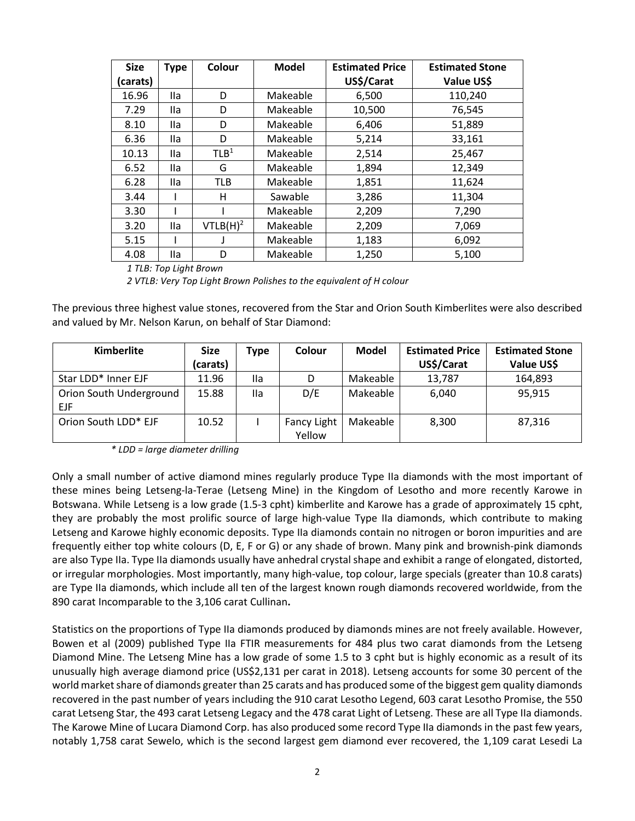| <b>Size</b> | <b>Type</b> | Colour               | <b>Model</b> | <b>Estimated Price</b> | <b>Estimated Stone</b> |  |
|-------------|-------------|----------------------|--------------|------------------------|------------------------|--|
| carats)     |             |                      |              | US\$/Carat             | Value US\$             |  |
| 16.96       | <b>Ila</b>  | D                    | Makeable     | 6,500                  | 110,240                |  |
| 7.29        | <b>Ila</b>  | D                    | Makeable     | 10,500                 | 76,545                 |  |
| 8.10        | lla.        | D                    | Makeable     | 6,406                  | 51,889                 |  |
| 6.36        | lla         | D                    | Makeable     | 5,214                  | 33,161                 |  |
| 10.13       | <b>Ila</b>  | TLB <sup>1</sup>     | Makeable     | 2,514                  | 25,467                 |  |
| 6.52        | lla         | G                    | Makeable     | 1,894                  | 12,349                 |  |
| 6.28        | <b>Ila</b>  | TLB                  | Makeable     | 1,851                  | 11,624                 |  |
| 3.44        |             | н                    | Sawable      | 3,286                  | 11,304                 |  |
| 3.30        |             |                      | Makeable     | 2,209                  | 7,290                  |  |
| 3.20        | lla.        | VTLB(H) <sup>2</sup> | Makeable     | 2,209                  | 7,069                  |  |
| 5.15        |             |                      | Makeable     | 1,183<br>6,092         |                        |  |
| 4.08        | <b>Ila</b>  | D                    | Makeable     | 1,250                  | 5,100                  |  |

*1 TLB: Top Light Brown*

*2 VTLB: Very Top Light Brown Polishes to the equivalent of H colour*

The previous three highest value stones, recovered from the Star and Orion South Kimberlites were also described and valued by Mr. Nelson Karun, on behalf of Star Diamond:

| <b>Kimberlite</b>       | <b>Size</b> | Type | Colour             | <b>Model</b> | <b>Estimated Price</b> | <b>Estimated Stone</b> |
|-------------------------|-------------|------|--------------------|--------------|------------------------|------------------------|
|                         | (carats)    |      |                    |              | US\$/Carat             | Value US\$             |
| Star LDD* Inner EJF     | 11.96       | lla  | D                  | Makeable     | 13,787                 | 164,893                |
| Orion South Underground | 15.88       | Ila  | D/E                | Makeable     | 6,040                  | 95,915                 |
| <b>EJF</b>              |             |      |                    |              |                        |                        |
| Orion South LDD* EJF    | 10.52       |      | <b>Fancy Light</b> | Makeable     | 8.300                  | 87.316                 |
|                         |             |      | Yellow             |              |                        |                        |

*\* LDD = large diameter drilling*

Only a small number of active diamond mines regularly produce Type IIa diamonds with the most important of these mines being Letseng-la-Terae (Letseng Mine) in the Kingdom of Lesotho and more recently Karowe in Botswana. While Letseng is a low grade (1.5-3 cpht) kimberlite and Karowe has a grade of approximately 15 cpht, they are probably the most prolific source of large high-value Type IIa diamonds, which contribute to making Letseng and Karowe highly economic deposits. Type IIa diamonds contain no nitrogen or boron impurities and are frequently either top white colours (D, E, F or G) or any shade of brown. Many pink and brownish-pink diamonds are also Type IIa. Type IIa diamonds usually have anhedral crystal shape and exhibit a range of elongated, distorted, or irregular morphologies. Most importantly, many high-value, top colour, large specials (greater than 10.8 carats) are Type IIa diamonds, which include all ten of the largest known rough diamonds recovered worldwide, from the 890 carat Incomparable to the 3,106 carat Cullinan**.** 

Statistics on the proportions of Type IIa diamonds produced by diamonds mines are not freely available. However, Bowen et al (2009) published Type IIa FTIR measurements for 484 plus two carat diamonds from the Letseng Diamond Mine. The Letseng Mine has a low grade of some 1.5 to 3 cpht but is highly economic as a result of its unusually high average diamond price (US\$2,131 per carat in 2018). Letseng accounts for some 30 percent of the world market share of diamonds greater than 25 carats and has produced some of the biggest gem quality diamonds recovered in the past number of years including the 910 carat Lesotho Legend, 603 carat Lesotho Promise, the 550 carat Letseng Star, the 493 carat Letseng Legacy and the 478 carat Light of Letseng. These are all Type IIa diamonds. The Karowe Mine of Lucara Diamond Corp. has also produced some record Type IIa diamonds in the past few years, notably 1,758 carat Sewelo, which is the second largest gem diamond ever recovered, the 1,109 carat Lesedi La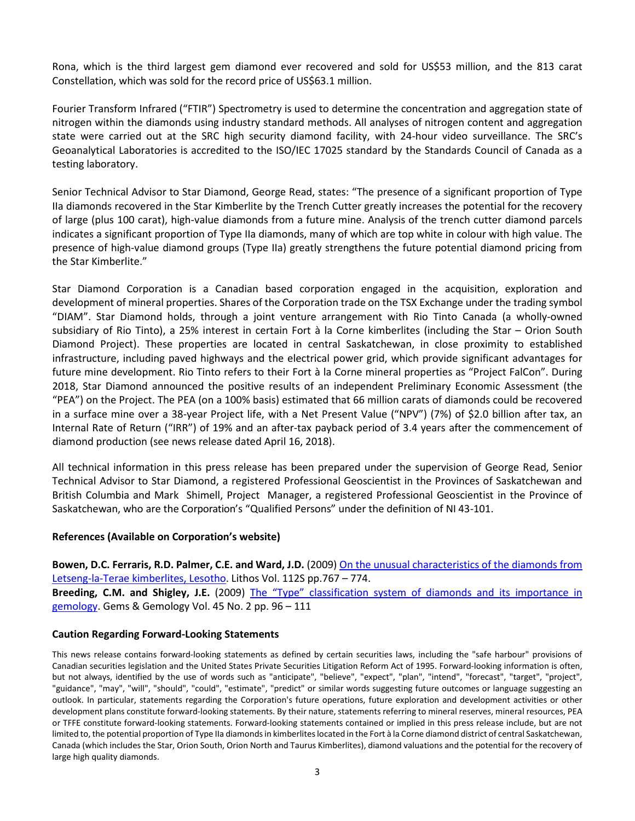Rona, which is the third largest gem diamond ever recovered and sold for US\$53 million, and the 813 carat Constellation, which was sold for the record price of US\$63.1 million.

Fourier Transform Infrared ("FTIR") Spectrometry is used to determine the concentration and aggregation state of nitrogen within the diamonds using industry standard methods. All analyses of nitrogen content and aggregation state were carried out at the SRC high security diamond facility, with 24-hour video surveillance. The SRC's Geoanalytical Laboratories is accredited to the ISO/IEC 17025 standard by the Standards Council of Canada as a testing laboratory.

Senior Technical Advisor to Star Diamond, George Read, states: "The presence of a significant proportion of Type IIa diamonds recovered in the Star Kimberlite by the Trench Cutter greatly increases the potential for the recovery of large (plus 100 carat), high-value diamonds from a future mine. Analysis of the trench cutter diamond parcels indicates a significant proportion of Type IIa diamonds, many of which are top white in colour with high value. The presence of high-value diamond groups (Type IIa) greatly strengthens the future potential diamond pricing from the Star Kimberlite."

Star Diamond Corporation is a Canadian based corporation engaged in the acquisition, exploration and development of mineral properties. Shares of the Corporation trade on the TSX Exchange under the trading symbol "DIAM". Star Diamond holds, through a joint venture arrangement with Rio Tinto Canada (a wholly-owned subsidiary of Rio Tinto), a 25% interest in certain Fort à la Corne kimberlites (including the Star – Orion South Diamond Project). These properties are located in central Saskatchewan, in close proximity to established infrastructure, including paved highways and the electrical power grid, which provide significant advantages for future mine development. Rio Tinto refers to their Fort à la Corne mineral properties as "Project FalCon". During 2018, Star Diamond announced the positive results of an independent Preliminary Economic Assessment (the "PEA") on the Project. The PEA (on a 100% basis) estimated that 66 million carats of diamonds could be recovered in a surface mine over a 38-year Project life, with a Net Present Value ("NPV") (7%) of \$2.0 billion after tax, an Internal Rate of Return ("IRR") of 19% and an after-tax payback period of 3.4 years after the commencement of diamond production (see news release dated April 16, 2018).

All technical information in this press release has been prepared under the supervision of George Read, Senior Technical Advisor to Star Diamond, a registered Professional Geoscientist in the Provinces of Saskatchewan and British Columbia and Mark Shimell, Project Manager, a registered Professional Geoscientist in the Province of Saskatchewan, who are the Corporation's "Qualified Persons" under the definition of NI 43-101.

## **References (Available on Corporation's website)**

**Bowen, D.C. Ferraris, R.D. Palmer, C.E. and Ward, J.D.** (2009[\) On the unusual characteristics of the diamonds from](http://www.stardiamondcorp.com/_resources/pdfs/Bowen_LesothoDiamonds_2009.pdf)  [Letseng-la-Terae kimberlites, Lesotho.](http://www.stardiamondcorp.com/_resources/pdfs/Bowen_LesothoDiamonds_2009.pdf) Lithos Vol. 112S pp.767 – 774. **Breeding, C.M. and Shigley, J.E.** (2009) [The "Type" classification system of diamonds and its importance in](http://www.stardiamondcorp.com/_resources/pdfs/The-Type-Classification-System-of-Diamonds_C_Breeding_J_Shigley.pdf)  [gemology.](http://www.stardiamondcorp.com/_resources/pdfs/The-Type-Classification-System-of-Diamonds_C_Breeding_J_Shigley.pdf) Gems & Gemology Vol. 45 No. 2 pp. 96 – 111

#### **Caution Regarding Forward-Looking Statements**

This news release contains forward-looking statements as defined by certain securities laws, including the "safe harbour" provisions of Canadian securities legislation and the United States Private Securities Litigation Reform Act of 1995. Forward-looking information is often, but not always, identified by the use of words such as "anticipate", "believe", "expect", "plan", "intend", "forecast", "target", "project", "guidance", "may", "will", "should", "could", "estimate", "predict" or similar words suggesting future outcomes or language suggesting an outlook. In particular, statements regarding the Corporation's future operations, future exploration and development activities or other development plans constitute forward-looking statements. By their nature, statements referring to mineral reserves, mineral resources, PEA or TFFE constitute forward-looking statements. Forward-looking statements contained or implied in this press release include, but are not limited to, the potential proportion of Type IIa diamondsin kimberlites located in the Fort à la Corne diamond district of central Saskatchewan, Canada (which includes the Star, Orion South, Orion North and Taurus Kimberlites), diamond valuations and the potential for the recovery of large high quality diamonds.